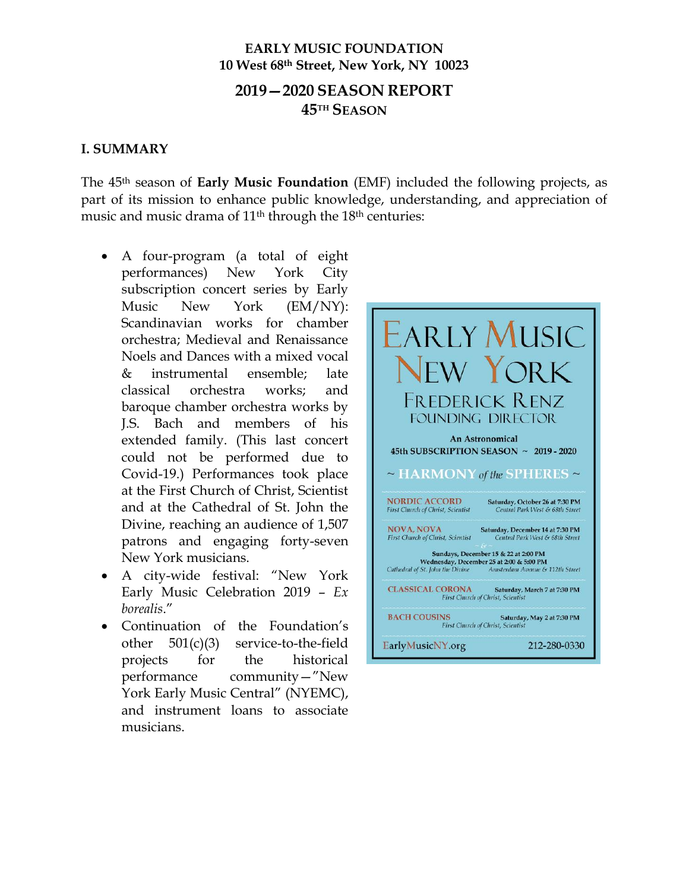# **EARLY MUSIC FOUNDATION 10 West 68th Street, New York, NY 10023**

# **2019—2020 SEASON REPORT 45TH SEASON**

#### **I. SUMMARY**

The 45th season of **Early Music Foundation** (EMF) included the following projects, as part of its mission to enhance public knowledge, understanding, and appreciation of music and music drama of 11<sup>th</sup> through the 18<sup>th</sup> centuries:

- A four-program (a total of eight performances) New York City subscription concert series by Early Music New York (EM/NY): Scandinavian works for chamber orchestra; Medieval and Renaissance Noels and Dances with a mixed vocal & instrumental ensemble; late classical orchestra works; and baroque chamber orchestra works by J.S. Bach and members of his extended family. (This last concert could not be performed due to Covid-19.) Performances took place at the First Church of Christ, Scientist and at the Cathedral of St. John the Divine, reaching an audience of 1,507 patrons and engaging forty-seven New York musicians.
- A city-wide festival: "New York Early Music Celebration 2019 – *Ex borealis*."
- Continuation of the Foundation's other 501(c)(3) service-to-the-field projects for the historical performance community—"New York Early Music Central" (NYEMC), and instrument loans to associate musicians.

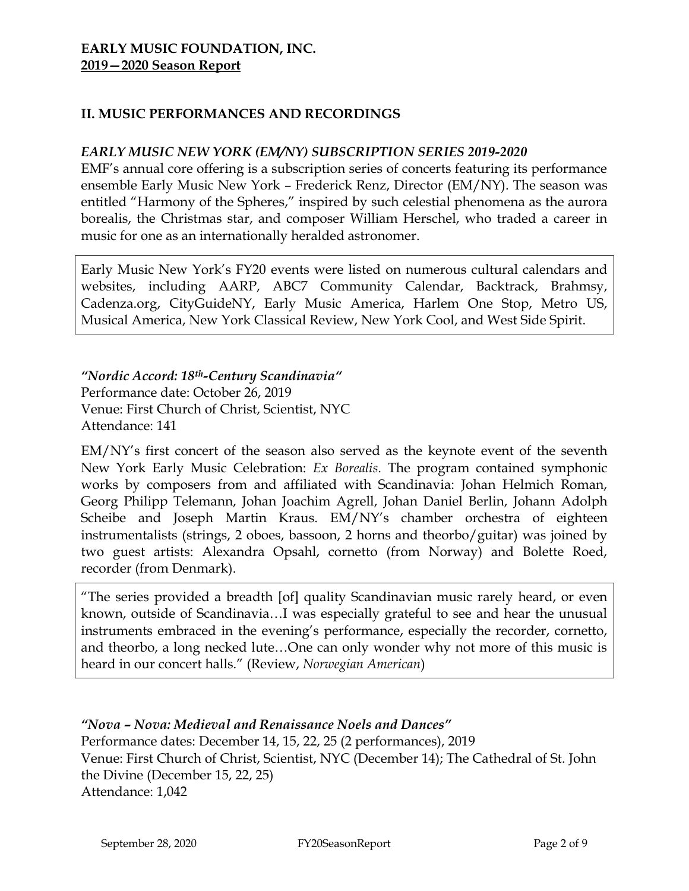# **II. MUSIC PERFORMANCES AND RECORDINGS**

### *EARLY MUSIC NEW YORK (EM/NY) SUBSCRIPTION SERIES 2019-2020*

EMF's annual core offering is a subscription series of concerts featuring its performance ensemble Early Music New York – Frederick Renz, Director (EM/NY). The season was entitled "Harmony of the Spheres," inspired by such celestial phenomena as the aurora borealis, the Christmas star, and composer William Herschel, who traded a career in music for one as an internationally heralded astronomer.

Early Music New York's FY20 events were listed on numerous cultural calendars and websites, including AARP, ABC7 Community Calendar, Backtrack, Brahmsy, Cadenza.org, CityGuideNY, Early Music America, Harlem One Stop, Metro US, Musical America, New York Classical Review, New York Cool, and West Side Spirit.

*"Nordic Accord: 18th-Century Scandinavia"* Performance date: October 26, 2019 Venue: First Church of Christ, Scientist, NYC Attendance: 141

EM/NY's first concert of the season also served as the keynote event of the seventh New York Early Music Celebration: *Ex Borealis*. The program contained symphonic works by composers from and affiliated with Scandinavia: Johan Helmich Roman, Georg Philipp Telemann, Johan Joachim Agrell, Johan Daniel Berlin, Johann Adolph Scheibe and Joseph Martin Kraus. EM/NY's chamber orchestra of eighteen instrumentalists (strings, 2 oboes, bassoon, 2 horns and theorbo/guitar) was joined by two guest artists: Alexandra Opsahl, cornetto (from Norway) and Bolette Roed, recorder (from Denmark).

"The series provided a breadth [of] quality Scandinavian music rarely heard, or even known, outside of Scandinavia…I was especially grateful to see and hear the unusual instruments embraced in the evening's performance, especially the recorder, cornetto, and theorbo, a long necked lute…One can only wonder why not more of this music is heard in our concert halls." (Review, *Norwegian American*)

*"Nova – Nova: Medieval and Renaissance Noels and Dances"* Performance dates: December 14, 15, 22, 25 (2 performances), 2019 Venue: First Church of Christ, Scientist, NYC (December 14); The Cathedral of St. John the Divine (December 15, 22, 25) Attendance: 1,042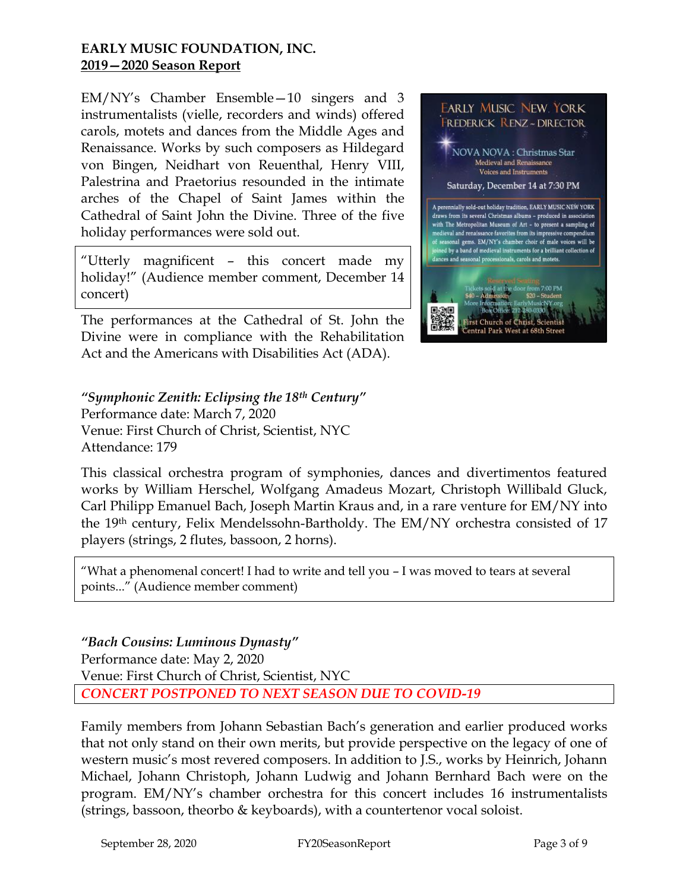EM/NY's Chamber Ensemble—10 singers and 3 instrumentalists (vielle, recorders and winds) offered carols, motets and dances from the Middle Ages and Renaissance. Works by such composers as Hildegard von Bingen, Neidhart von Reuenthal, Henry VIII, Palestrina and Praetorius resounded in the intimate arches of the Chapel of Saint James within the Cathedral of Saint John the Divine. Three of the five holiday performances were sold out.

"Utterly magnificent – this concert made my holiday!" (Audience member comment, December 14 concert)

The performances at the Cathedral of St. John the Divine were in compliance with the Rehabilitation Act and the Americans with Disabilities Act (ADA).

# *"Symphonic Zenith: Eclipsing the 18th Century"*

Performance date: March 7, 2020 Venue: First Church of Christ, Scientist, NYC Attendance: 179



This classical orchestra program of symphonies, dances and divertimentos featured works by William Herschel, Wolfgang Amadeus Mozart, Christoph Willibald Gluck, Carl Philipp Emanuel Bach, Joseph Martin Kraus and, in a rare venture for EM/NY into the 19th century, Felix Mendelssohn-Bartholdy. The EM/NY orchestra consisted of 17 players (strings, 2 flutes, bassoon, 2 horns).

"What a phenomenal concert! I had to write and tell you – I was moved to tears at several points..." (Audience member comment)

#### *"Bach Cousins: Luminous Dynasty"*

Performance date: May 2, 2020

Venue: First Church of Christ, Scientist, NYC

*CONCERT POSTPONED TO NEXT SEASON DUE TO COVID-19*

Family members from Johann Sebastian Bach's generation and earlier produced works that not only stand on their own merits, but provide perspective on the legacy of one of western music's most revered composers. In addition to J.S., works by Heinrich, Johann Michael, Johann Christoph, Johann Ludwig and Johann Bernhard Bach were on the program. EM/NY's chamber orchestra for this concert includes 16 instrumentalists (strings, bassoon, theorbo & keyboards), with a countertenor vocal soloist.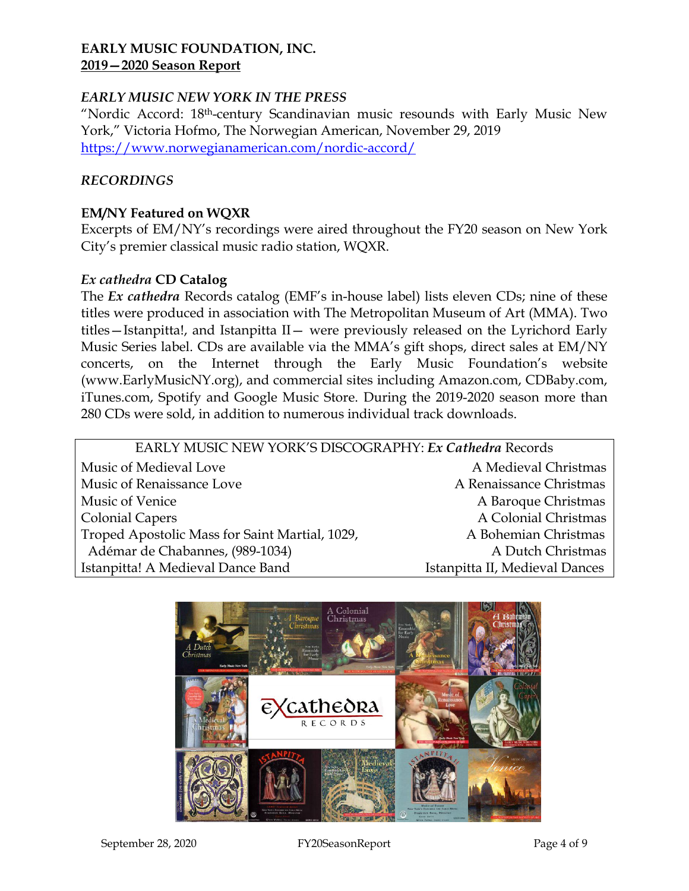#### *EARLY MUSIC NEW YORK IN THE PRESS*

"Nordic Accord: 18th-century Scandinavian music resounds with Early Music New York," Victoria Hofmo, The Norwegian American, November 29, 2019 <https://www.norwegianamerican.com/nordic-accord/>

#### *RECORDINGS*

#### **EM/NY Featured on WQXR**

Excerpts of EM/NY's recordings were aired throughout the FY20 season on New York City's premier classical music radio station, WQXR.

#### *Ex cathedra* **CD Catalog**

The *Ex cathedra* Records catalog (EMF's in-house label) lists eleven CDs; nine of these titles were produced in association with The Metropolitan Museum of Art (MMA). Two titles—Istanpitta!, and Istanpitta II— were previously released on the Lyrichord Early Music Series label. CDs are available via the MMA's gift shops, direct sales at EM/NY concerts, on the Internet through the Early Music Foundation's website (www.EarlyMusicNY.org), and commercial sites including Amazon.com, CDBaby.com, iTunes.com, Spotify and Google Music Store. During the 2019-2020 season more than 280 CDs were sold, in addition to numerous individual track downloads.

| EARLY MUSIC NEW YORK'S DISCOGRAPHY: Ex Cathedra Records |                                |
|---------------------------------------------------------|--------------------------------|
| Music of Medieval Love                                  | A Medieval Christmas           |
| Music of Renaissance Love                               | A Renaissance Christmas        |
| Music of Venice                                         | A Baroque Christmas            |
| <b>Colonial Capers</b>                                  | A Colonial Christmas           |
| Troped Apostolic Mass for Saint Martial, 1029,          | A Bohemian Christmas           |
| Adémar de Chabannes, (989-1034)                         | A Dutch Christmas              |
| Istanpitta! A Medieval Dance Band                       | Istanpitta II, Medieval Dances |
|                                                         |                                |

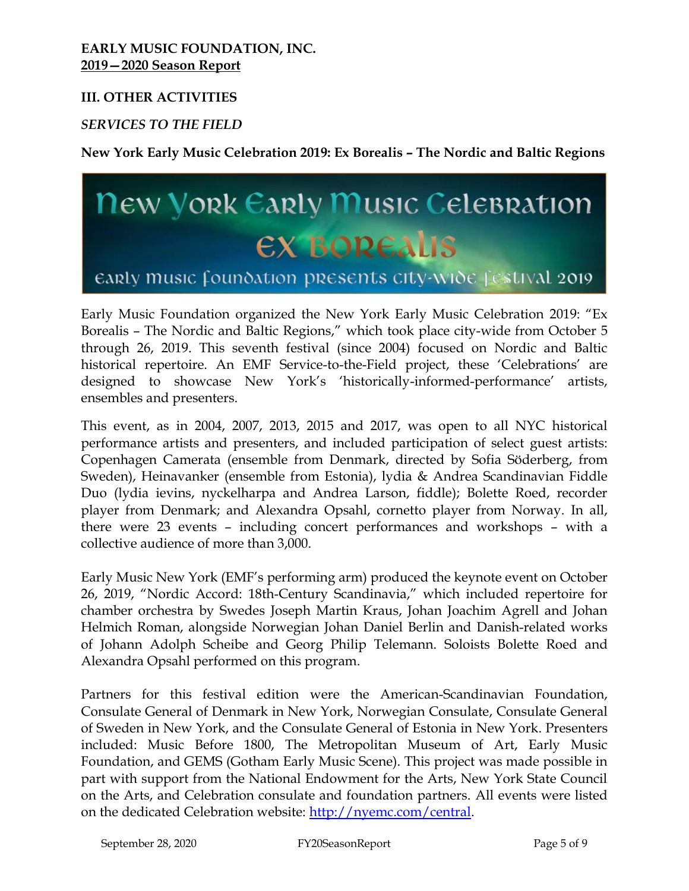#### **III. OTHER ACTIVITIES**

#### *SERVICES TO THE FIELD*

**New York Early Music Celebration 2019: Ex Borealis – The Nordic and Baltic Regions**

# **New York Early Music Celebration EX BOREALIS**

# early music foundation presents city-wide festival 2019

Early Music Foundation organized the New York Early Music Celebration 2019: "Ex Borealis – The Nordic and Baltic Regions," which took place city-wide from October 5 through 26, 2019. This seventh festival (since 2004) focused on Nordic and Baltic historical repertoire. An EMF Service-to-the-Field project, these 'Celebrations' are designed to showcase New York's 'historically-informed-performance' artists, ensembles and presenters.

This event, as in 2004, 2007, 2013, 2015 and 2017, was open to all NYC historical performance artists and presenters, and included participation of select guest artists: Copenhagen Camerata (ensemble from Denmark, directed by Sofia Söderberg, from Sweden), Heinavanker (ensemble from Estonia), lydia & Andrea Scandinavian Fiddle Duo (lydia ievins, nyckelharpa and Andrea Larson, fiddle); Bolette Roed, recorder player from Denmark; and Alexandra Opsahl, cornetto player from Norway. In all, there were 23 events – including concert performances and workshops – with a collective audience of more than 3,000.

Early Music New York (EMF's performing arm) produced the keynote event on October 26, 2019, "Nordic Accord: 18th-Century Scandinavia," which included repertoire for chamber orchestra by Swedes Joseph Martin Kraus, Johan Joachim Agrell and Johan Helmich Roman, alongside Norwegian Johan Daniel Berlin and Danish-related works of Johann Adolph Scheibe and Georg Philip Telemann. Soloists Bolette Roed and Alexandra Opsahl performed on this program.

Partners for this festival edition were the American-Scandinavian Foundation, Consulate General of Denmark in New York, Norwegian Consulate, Consulate General of Sweden in New York, and the Consulate General of Estonia in New York. Presenters included: Music Before 1800, The Metropolitan Museum of Art, Early Music Foundation, and GEMS (Gotham Early Music Scene). This project was made possible in part with support from the National Endowment for the Arts, New York State Council on the Arts, and Celebration consulate and foundation partners. All events were listed on the dedicated Celebration website: [http://nyemc.com/central.](http://nyemc.com/central)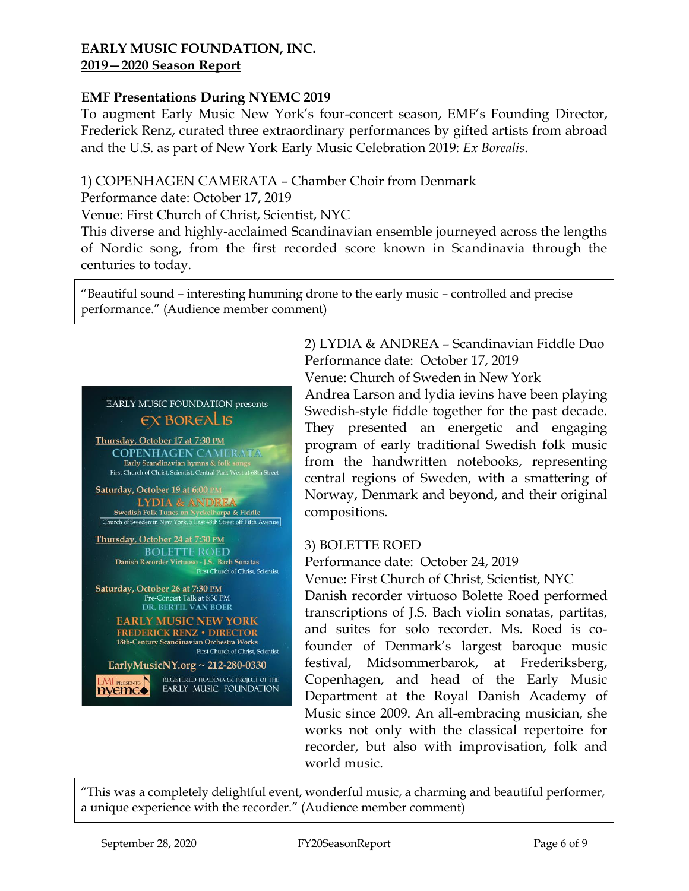#### **EMF Presentations During NYEMC 2019**

To augment Early Music New York's four-concert season, EMF's Founding Director, Frederick Renz, curated three extraordinary performances by gifted artists from abroad and the U.S. as part of New York Early Music Celebration 2019: *Ex Borealis*.

#### 1) COPENHAGEN CAMERATA – Chamber Choir from Denmark

Performance date: October 17, 2019

Venue: First Church of Christ, Scientist, NYC

This diverse and highly-acclaimed Scandinavian ensemble journeyed across the lengths of Nordic song, from the first recorded score known in Scandinavia through the centuries to today.

"Beautiful sound – interesting humming drone to the early music – controlled and precise performance." (Audience member comment)

# EARLY MUSIC FOUNDATION presents **EX BOREALIS**

Thursday, October 17 at 7:30 PM **COPENHAGEN CAMERATA** Early Scandinavian hymns & folk songs<br>First Church of Christ, Scientist, Central Park West at 68th Street

Saturday, October 19 at 6:00 PM **LYDIA & ANDREA**  $\frac{1}{2} \left\{\text{Swedish Folk Tunes on Nyckelharpa & Fiddle}\right.\\ \text{[Church of Sweden in New York, 5 East 48th Street off Fifth Avenue]}.$ 

Thursday, October 24 at 7:30 PM **BOLETTE ROED** Danish Recorder Virtuoso - J.S. Bach Sonatas First Church of Christ, Scientist

Saturday, October 26 at 7:30 PM Pre-Concert Talk at 6:30 PM **DR. BERTIL VAN BOER** 

> **EARLY MUSIC NEW YORK** FREDERICK RENZ . DIRECTOR 18th-Century Scandinavian Orchestra Works First Church of Christ, Scientist

EarlyMusicNY.org ~ 212-280-0330 MFPRESENTS REGISTERED TRADEMARK PROJECT OF THE EARLY MUSIC FOUNDATION 2) LYDIA & ANDREA – Scandinavian Fiddle Duo Performance date: October 17, 2019 Venue: Church of Sweden in New York Andrea Larson and lydia ievins have been playing Swedish-style fiddle together for the past decade. They presented an energetic and engaging program of early traditional Swedish folk music from the handwritten notebooks, representing central regions of Sweden, with a smattering of Norway, Denmark and beyond, and their original compositions.

#### 3) BOLETTE ROED

Performance date: October 24, 2019

Venue: First Church of Christ, Scientist, NYC

Danish recorder virtuoso Bolette Roed performed transcriptions of J.S. Bach violin sonatas, partitas, and suites for solo recorder. Ms. Roed is cofounder of Denmark's largest baroque music festival, Midsommerbarok, at Frederiksberg, Copenhagen, and head of the Early Music Department at the Royal Danish Academy of Music since 2009. An all-embracing musician, she works not only with the classical repertoire for recorder, but also with improvisation, folk and world music.

"This was a completely delightful event, wonderful music, a charming and beautiful performer, a unique experience with the recorder." (Audience member comment)

nyemc $\bullet$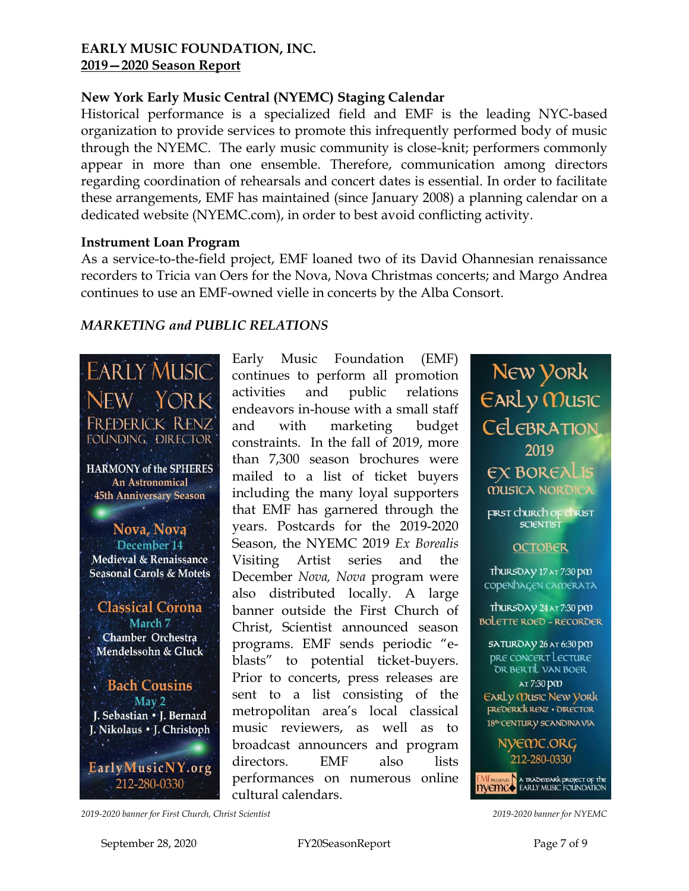# **New York Early Music Central (NYEMC) Staging Calendar**

Historical performance is a specialized field and EMF is the leading NYC-based organization to provide services to promote this infrequently performed body of music through the NYEMC. The early music community is close-knit; performers commonly appear in more than one ensemble. Therefore, communication among directors regarding coordination of rehearsals and concert dates is essential. In order to facilitate these arrangements, EMF has maintained (since January 2008) a planning calendar on a dedicated website (NYEMC.com), in order to best avoid conflicting activity.

#### **Instrument Loan Program**

As a service-to-the-field project, EMF loaned two of its David Ohannesian renaissance recorders to Tricia van Oers for the Nova, Nova Christmas concerts; and Margo Andrea continues to use an EMF-owned vielle in concerts by the Alba Consort.

# *MARKETING and PUBLIC RELATIONS*

**EARLY MUSIC** NEW YORK FREDERICK RENZ FOUNDING, DIRECTOR **HARMONY** of the SPHERES An Astronomical **45th Anniversary Season** Nova, Nova December 14 Medieval & Renaissance **Seasonal Carols & Motets Classical Corona** March 7 Chamber Orchestra Mendelssohn & Gluck **Bach Cousins** May 2 J. Sebastian • J. Bernard J. Nikolaus • J. Christoph EarlyMusicNY.org 212-280-0330

Early Music Foundation (EMF) continues to perform all promotion activities and public relations endeavors in-house with a small staff and with marketing budget constraints. In the fall of 2019, more than 7,300 season brochures were mailed to a list of ticket buyers including the many loyal supporters that EMF has garnered through the years. Postcards for the 2019-2020 Season, the NYEMC 2019 *Ex Borealis*  Visiting Artist series and the December *Nova, Nova* program were also distributed locally. A large banner outside the First Church of Christ, Scientist announced season programs. EMF sends periodic "eblasts" to potential ticket-buyers. Prior to concerts, press releases are sent to a list consisting of the metropolitan area's local classical music reviewers, as well as to broadcast announcers and program directors. EMF also lists performances on numerous online cultural calendars.

New York EARLY MUSIC CELEBRATION 2019 **EX BOREALIS MUSICA NOROICA** FIRST Church of Christ **SCIENTIST OCTOBER** ThursOAY 17 AT 7:30 pm CODENDAGEN CAMERATA TOURSOAY 24 AT 7:30 PM **BOLETTE ROED - RECORDER SATUROAY 26 AT 6:30 PM PRE CONCERT LECTURE** OR BERTIL VAN BOER AT 7:30 DM **EARLY MUSIC NEW YORK FREDERICK RENZ . OIRECTOR** 18<sup>th</sup> CENTURY SCANOINAVIA NYEMC.ORG 212-280-0330 **EMFREENTS A TRADEMARK PROJECT OF THE<br>HYCHICO** EARLY MUSIC FOUNDATION

*2019-2020 banner for First Church, Christ Scientist 2019-2020 banner for NYEMC*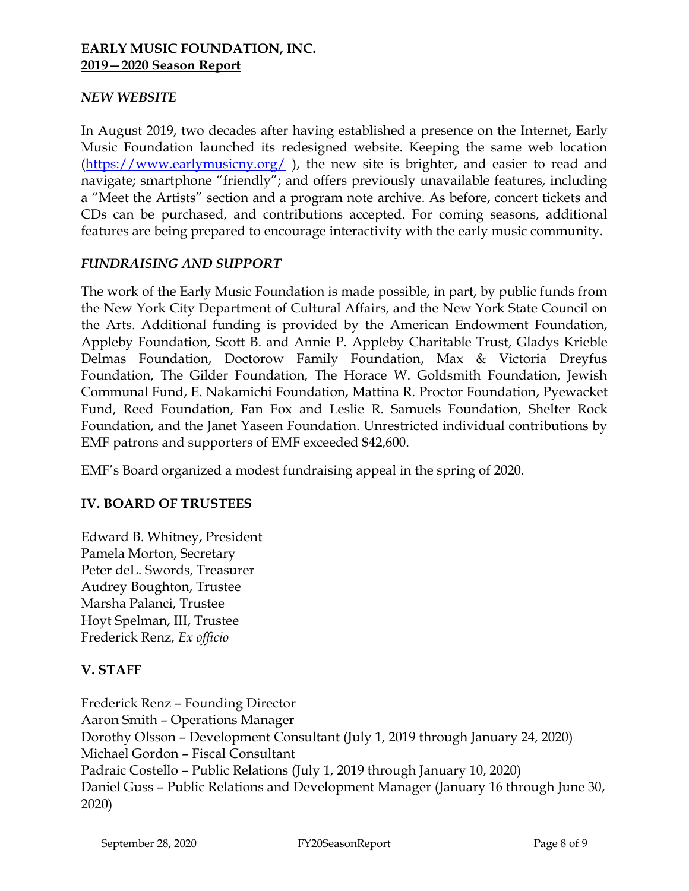#### *NEW WEBSITE*

In August 2019, two decades after having established a presence on the Internet, Early Music Foundation launched its redesigned website. Keeping the same web location [\(https://www.earlymusicny.org/](https://www.earlymusicny.org/) ), the new site is brighter, and easier to read and navigate; smartphone "friendly"; and offers previously unavailable features, including a "Meet the Artists" section and a program note archive. As before, concert tickets and CDs can be purchased, and contributions accepted. For coming seasons, additional features are being prepared to encourage interactivity with the early music community.

#### *FUNDRAISING AND SUPPORT*

The work of the Early Music Foundation is made possible, in part, by public funds from the New York City Department of Cultural Affairs, and the New York State Council on the Arts. Additional funding is provided by the American Endowment Foundation, Appleby Foundation, Scott B. and Annie P. Appleby Charitable Trust, Gladys Krieble Delmas Foundation, Doctorow Family Foundation, Max & Victoria Dreyfus Foundation, The Gilder Foundation, The Horace W. Goldsmith Foundation, Jewish Communal Fund, E. Nakamichi Foundation, Mattina R. Proctor Foundation, Pyewacket Fund, Reed Foundation, Fan Fox and Leslie R. Samuels Foundation, Shelter Rock Foundation, and the Janet Yaseen Foundation. Unrestricted individual contributions by EMF patrons and supporters of EMF exceeded \$42,600.

EMF's Board organized a modest fundraising appeal in the spring of 2020.

### **IV. BOARD OF TRUSTEES**

Edward B. Whitney, President Pamela Morton, Secretary Peter deL. Swords, Treasurer Audrey Boughton, Trustee Marsha Palanci, Trustee Hoyt Spelman, III, Trustee Frederick Renz, *Ex officio*

### **V. STAFF**

Frederick Renz – Founding Director Aaron Smith – Operations Manager Dorothy Olsson – Development Consultant (July 1, 2019 through January 24, 2020) Michael Gordon – Fiscal Consultant Padraic Costello – Public Relations (July 1, 2019 through January 10, 2020) Daniel Guss – Public Relations and Development Manager (January 16 through June 30, 2020)